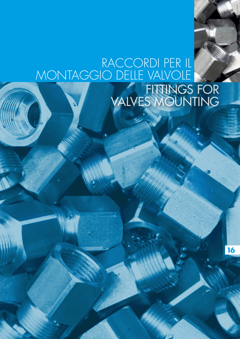# FITTINGS FOR VALVES MOUNTING RACCORDI PER IL MONTAGGIO DELLE VALVOLE

**16**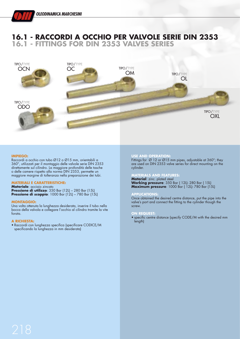# **16.1 - RACCORDI A OCCHIO PER VALVOLE SERIE DIN 2353 16.1 - FITTINGS FOR DIN 2353 VALVES SERIES**



#### **IMPIEGO:**

Raccordi a occhio con tubo Ø12 o Ø15 mm, orientabili a 360°, utilizzati per il montaggio delle valvole serie DIN 2353 direttamente sul cilindro. La maggiore profondità delle tasche o delle camere rispetto alla norma DIN 2353, permette un maggiore margine di tolleranza nella preparazione dei tubi.

#### **MATERIALI E CARATTERISTICHE:**

**Materiale**: acciaio zincato **Pressione di utilizzo**: 350 Bar (12L) – 280 Bar (15L) **Pressione di scoppio**: 1000 Bar (12L) – 780 Bar (15L)

#### **MONTAGGIO:**

Una volta ottenuta la lunghezza desiderata, inserire il tubo nella bocca della valvola e collegare l'occhio al cilindro tramite la vite forata.

#### **A RICHIESTA:**

• Raccordi con lunghezza specifica (specificare CODICE/M specificando la lunghezza in mm desiderata)

#### **USE AND OPERATION:**

Fittings for  $\varnothing$  12 or  $\varnothing$ 15 mm pipes, adjustable at 360°; they are used on DIN 2353 valve series for direct mounting on the cylinder.

#### **MATERIALS AND FEATURES:**

**Material**: zinc. plated steel **Working pressure**: 350 Bar ( 12L)- 280 Bar ( 15L) **Maximum pressure**: 1000 Bar ( 12L)- 780 Bar (15L)

#### **APPLICATIONS:**

Once obtained the desired centre distance, put the pipe into the valve's port and connect the fitting to the cylinder though the screw.

#### **ON REQUEST:**

• specific centre distance (specify CODE/M with the desired mm length)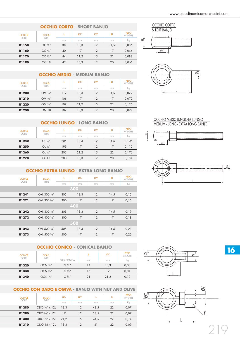# **OCCHIO CORTO - SHORT BANJO**

| <b>CODICE</b> | <b>SIGLA</b>      |    | ØC   | ØV | Н    | <b>PESO</b><br><b>WEIGHT</b> |
|---------------|-------------------|----|------|----|------|------------------------------|
| CODE          | <b>TYPE</b>       | mm | mm   | mm | mm   | Кg                           |
| R1150         | $OC$ $1/4''$      | 38 | 13,3 | 12 | 14,5 | 0,036                        |
| R1160         | OC 3/s''          | 40 | 17   | 12 | 17   | 0,044                        |
| <b>R1170</b>  | $OC \frac{1}{2}"$ | 44 | 21,2 | 15 | 22   | 0,088                        |
| <b>R1190</b>  | OC 18             | 42 | 18,3 | 12 | 20   | 0,066                        |

# **OCCHIO MEDIO - MEDIUM BANJO**

| <b>CODICE</b> | <b>SIGLA</b><br>CODE<br><b>TYPE</b> |     | ØC   | ØV | Н    | <b>PESO</b><br>WEIGHT |
|---------------|-------------------------------------|-----|------|----|------|-----------------------|
|               |                                     | mm  | mm   | mm | mm   | Кg                    |
| R1200         | OM 1/4"                             | 112 | 13,3 | 12 | 14,5 | 0,072                 |
| R1210         | OM 3/s''                            | 106 | 17   | 12 | 17   | 0,072                 |
| R1220         | OM $1/2''$                          | 109 | 21,2 | 15 | 22   | 0,126                 |
| R1230         | <b>OM 18</b>                        | 107 | 18,3 | 12 | 20   | 0,094                 |

# OCCHIO CORTO SHORT BANJO





## **OCCHIO LUNGO - LONG BANJO**

| <b>CODICE</b><br>CODE | <b>SIGLA</b>     |     | ØC   | ØV | Н    | <b>PESO</b><br>WEIGHT |
|-----------------------|------------------|-----|------|----|------|-----------------------|
|                       | <b>TYPE</b>      | mm  | mm   | mm | mm   | Кg                    |
| R1240                 | $OL$ $1/4''$     | 205 | 13,3 | 12 | 14,5 | 0,106                 |
| R1250                 | OL 3/s''         | 199 | 17   | 12 | 17   | 0,110                 |
| R1260                 | $OL \frac{1}{2}$ | 202 | 21,2 | 15 | 22   | 0,176                 |
| R1270                 | OL 18            | 200 | 18,3 | 12 | 20   | 0,134                 |

#### **OCCHIO EXTRA LUNGO - EXTRA LONG BANJO**

| <b>CODICE</b> | <b>SIGLA</b> | L   | ØC   | ØV | н    | <b>PESO</b><br><b>WEIGHT</b> |
|---------------|--------------|-----|------|----|------|------------------------------|
| CODE          | <b>TYPE</b>  | mm  | mm   | mm | mm   | Кg                           |
|               |              |     | 300  |    |      |                              |
| R1241         | OXL 300 1/4" | 305 | 13,3 | 12 | 14,5 | 0,15                         |
| R1271         | OXL 300 3/8" | 300 | 17   | 12 | 17   | 0,15                         |
|               |              |     | 400  |    |      |                              |
| R1242         | OXL 400 1/4" | 405 | 13,3 | 12 | 14,5 | 0,19                         |
| R1272         | OXL 400 3/8" | 400 | 17   | 12 | 17   | 0,18                         |
|               |              |     | 500  |    |      |                              |
| R1243         | OXL 500 1/4" | 505 | 13,3 | 12 | 14,5 | 0,23                         |
| R1273         | OXL 500 3/8" | 500 | 17   | 12 | 17   | 0,22                         |

## **OCCHIO CONICO - CONICAL BANJO**

| <b>CODICE</b><br>CODE | <b>SIGLA</b><br><b>TYPE</b> | V                 |    | ØC   | <b>PESO</b><br><b>WEIGHT</b> |
|-----------------------|-----------------------------|-------------------|----|------|------------------------------|
|                       |                             | <b>GAS-CONICA</b> | mm | mm   | Кg                           |
| R1320                 | $OCN$ $\frac{1}{4}$ "       | $G$ 1/4"          | 14 | 13,3 | 0,03                         |
| R1330                 | OCN 3/s''                   | $G \frac{3}{8}$ " | 16 | 17   | 0,04                         |
| R1340                 | $OCN$ $1/2"$                | $G\frac{1}{2}$    | 21 | 21,2 | 0,10                         |



| <b>CODICE</b> | <b>SIGLA</b>              | ØC   | ØV |      | E  | <b>PESO</b><br>WEIGHT |
|---------------|---------------------------|------|----|------|----|-----------------------|
| CODE          | <b>TYPE</b>               | mm   | mm | mm   | mm | Кg                    |
| R1280         | ODO 1/4" x 12L            | 13.3 | 12 | 43.5 | 22 | 0,07                  |
| R1290         | ODO $\frac{3}{8}$ " x 12L | 17   | 12 | 38,5 | 22 | 0,07                  |
| R1300         | ODO $\frac{1}{2}$ " x 15L | 21.2 | 15 | 44.5 | 27 | 0,14                  |
| R1310         | ODO 18 x 12L              | 18.3 | 12 | 41   | 22 | 0,09                  |

OCCHIO MEDIO-LUNGO-EX.LUNGO SHORT BANDON MEDIUM - LONG - EXTRA LONG BANJO









**16**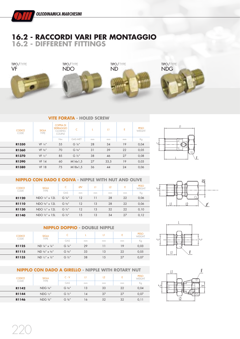# **16.2 - RACCORDI VARI PER MONTAGGIO 16.2 - DIFFERENT FITTINGS**



# **VITE FORATA - HOLED SCREW**

| <b>CODICE</b><br>CODE | <b>SIGLA</b><br><b>TYPE</b> | <b>COPPIA DI</b><br><b>SERRAGGIO</b><br><b>CLOSING</b><br>COUPLE | C                   |    | L1   | E  | <b>PESO</b><br><b>WEIGHT</b> |
|-----------------------|-----------------------------|------------------------------------------------------------------|---------------------|----|------|----|------------------------------|
|                       |                             | Nm                                                               | <b>GAS-MET</b>      | mm | mm   | mm | Кg                           |
| R1350                 | VF 1/4''                    | 55                                                               | $G$ $\frac{1}{4}$ " | 28 | 34   | 19 | 0,04                         |
| R1360                 | VF 3/8''                    | 70                                                               | $G \frac{3}{8}$ "   | 31 | 39   | 22 | 0,05                         |
| R1370                 | $VF$ $1/2$ "                | 85                                                               | $G\frac{1}{2}$      | 38 | 46   | 27 | 0,08                         |
| R1390                 | <b>VF 14</b>                | 60                                                               | M14x1,5             | 27 | 33,5 | 19 | 0,03                         |
| R1380                 | <b>VF 18</b>                | 75                                                               | M18x1,5             | 36 | 44   | 24 | 0,06                         |



### **NIPPLO CON DADO E OGIVA - NIPPLE WITH NUT AND OLIVE**

| <b>CODICE</b><br>CODE | <b>SIGLA</b><br><b>TYPE</b> | C                 | ØV | $\mathbf{L}$ | 12 | E  | PESO<br><b>WEIGHT</b> |
|-----------------------|-----------------------------|-------------------|----|--------------|----|----|-----------------------|
|                       |                             | GAS               | mm | mm           | mm | mm | Кg                    |
| R1120                 | NDO 1/4" x 12L              | G''               | 12 | 11           | 28 | 22 | 0,06                  |
| <b>R1110</b>          | NDO $\frac{3}{8}$ " x 12L   | $G \frac{3}{8}$ " | 12 | 13           | 28 | 22 | 0,06                  |
| R1130                 | NDO $\frac{1}{2}$ x 12L     | $G\frac{1}{2}$    | 12 | 13           | 32 | 22 | 0,10                  |
| R1140                 | NDO 1/2" x 15L              | $G\frac{1}{2}$    | 15 | 13           | 34 | 27 | 0,12                  |



# **NIPPLO DOPPIO - DOUBLE NIPPLE**

| <b>CODICE</b><br><b>SIGLA</b> |                                         |                   | H  | E  | <b>PESO</b><br><b>WEIGHT</b> |      |
|-------------------------------|-----------------------------------------|-------------------|----|----|------------------------------|------|
| CODE                          | <b>TYPE</b>                             | GAS               | mm | mm | mm                           | Кg   |
| R1125                         | ND $\frac{1}{4}'' \times \frac{1}{4}''$ | $G \mathcal{U}''$ | 29 | 11 | 19                           | 0,03 |
| R1115                         | ND $\frac{3}{8}$ " x $\frac{3}{8}$ "    | $G \frac{3}{8}$ " | 33 | 13 | 22                           | 0,05 |
| R1135                         | ND $\frac{1}{2}$ x $\frac{1}{2}$        | $G\frac{1}{2}$    | 38 | 15 | 27                           | 0,07 |

# **NIPPLO CON DADO A GIRELLO - NIPPLE WITH ROTARY NUT**

| <b>CODICE</b> | <b>SIGLA</b>          | $C - V$           |    | 12 | E  | <b>PESO</b><br><b>WEIGHT</b> |
|---------------|-----------------------|-------------------|----|----|----|------------------------------|
| CODE          | <b>TYPE</b>           | <b>GAS</b>        | mm | mm | mm | Кg                           |
| R1142         | $NDG$ $\frac{3}{8}$ " | $G \frac{3}{8}$ " | 13 | 33 | 22 | 0,04                         |
| R1144         | $NDG$ $1/2$ "         | $G\frac{1}{2}$    | 14 | 37 | 27 | 0,07                         |
| R1146         | NDG $\frac{3}{4}$ "   | $G \frac{3}{4}$ " | 16 | 52 | 32 | 0,11                         |



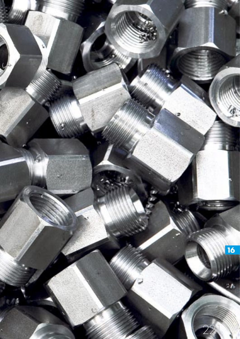